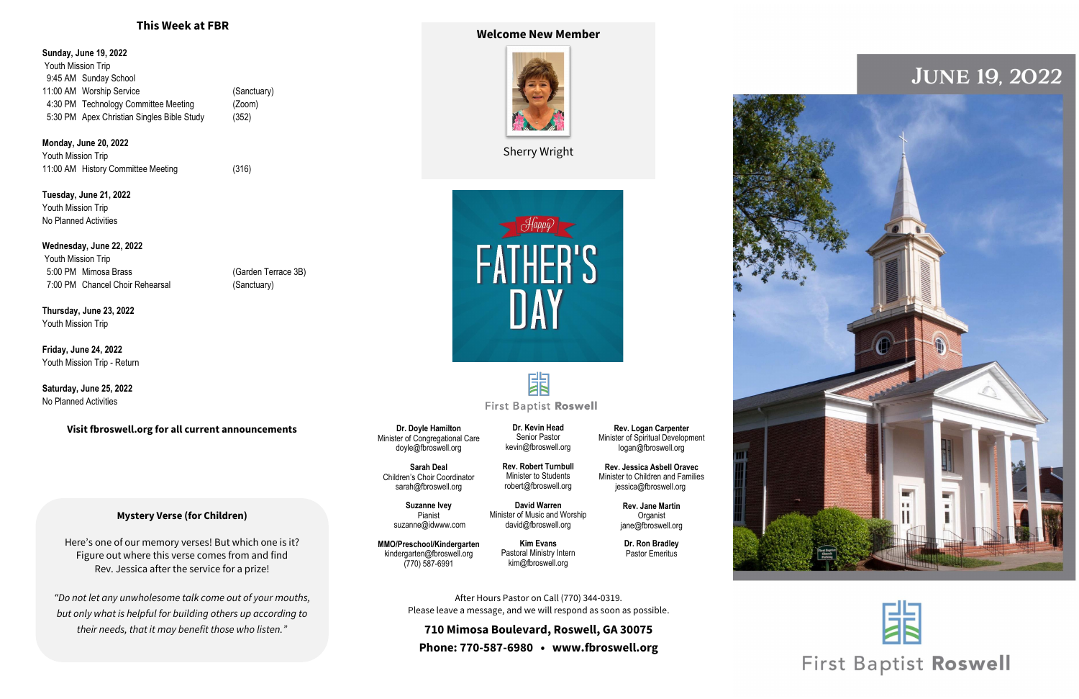### **Mystery Verse (for Children)**

Here's one of our memory verses! But which one is it? Figure out where this verse comes from and find Rev. Jessica after the service for a prize!

*"Do not let any unwholesome talk come out of your mouths, but only what is helpful for building others up according to their needs, that it may benefit those who listen."*

**Sunday, June 19, 2022** Youth Mission Trip 9:45 AM Sunday School 11:00 AM Worship Service (Sanctuary) 4:30 PM Technology Committee Meeting (Zoom) 5:30 PM Apex Christian Singles Bible Study (352)

**Monday, June 20, 2022** Youth Mission Trip 11:00 AM History Committee Meeting (316)

**Tuesday, June 21, 2022** Youth Mission Trip No Planned Activities

### **Wednesday, June 22, 2022**

Youth Mission Trip 5:00 PM Mimosa Brass (Garden Terrace 3B) 7:00 PM Chancel Choir Rehearsal (Sanctuary)

**Thursday, June 23, 2022** Youth Mission Trip

**Friday, June 24, 2022** Youth Mission Trip - Return

**Saturday, June 25, 2022** No Planned Activities

**Visit fbroswell.org for all current announcements**

# **This Week at FBR Welcome New Member**



Sherry Wright



**Dr. Doyle Hamilton** Minister of Congregational Care doyle@fbroswell.org

**Sarah Deal** Children's Choir Coordinator [sarah@fbroswell.org](mailto:sarah@fbroswell.org)

> **Suzanne Ivey** Pianist [suzanne@idwww.com](mailto:suzanne@idwww.com)

**MMO/Preschool/Kindergarten** kindergarten@fbroswell.org (770) 587-6991

**Rev. Robert Turnbull** Minister to Students robert@fbroswell.org

**David Warren** Minister of Music and Worship [david@fbroswell.org](mailto:david@fbroswell.org)

**Dr. Kevin Head** Senior Pastor [kevin@fbroswell.org](mailto:kevin@fbroswell.org) Minister of Spiritual Development [logan@fbroswell.org](mailto:logan@fbroswell.org)

**Kim Evans** Pastoral Ministry Intern kim@fbroswell.org

**Rev. Logan Carpenter**

# **JUNE 19, 2022**





# **First Baptist Roswell**

**Rev. Jessica Asbell Oravec** Minister to Children and Families jessica@fbroswell.org

> **Rev. Jane Martin Organist** jane@fbroswell.org

**Dr. Ron Bradley** Pastor Emeritus

After Hours Pastor on Call (770) 344-0319. Please leave a message, and we will respond as soon as possible.

**710 Mimosa Boulevard, Roswell, GA 30075 Phone: 770-587-6980 • www.fbroswell.org**

躙 **First Baptist Roswell**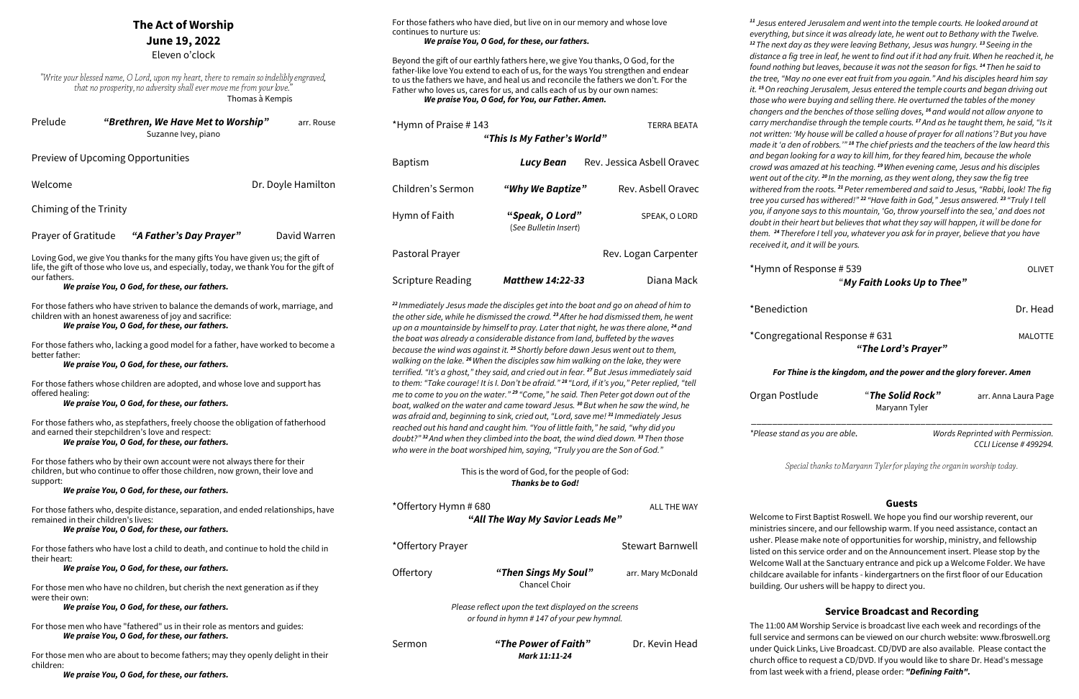## **The Act of Worship June 19, 2022**

"Write your blessed name, O Lord, upon my heart, there to remain so indelibly engraved, that no prosperity, no adversity shall ever move me from your love.' Thomas à Kempis

Eleven o'clock

| Prelude | "Brethren, We Have Met to Worship" | arr. Rouse |
|---------|------------------------------------|------------|
|         | Suzanne Ivey, piano                |            |

Welcome **Dr. Doyle Hamilton** Chiming of the Trinity

Preview of Upcoming Opportunities

Prayer of Gratitude *"A Father's Day Prayer"* David Warren

Loving God, we give You thanks for the many gifts You have given us; the gift of life, the gift of those who love us, and especially, today, we thank You for the gift of our fathers.

*We praise You, O God, for these, our fathers.*

For those fathers who have striven to balance the demands of work, marriage, and children with an honest awareness of joy and sacrifice:

## *We praise You, O God, for these, our fathers.*

For those fathers who, lacking a good model for a father, have worked to become a better father:

*We praise You, O God, for these, our fathers.*

For those fathers whose children are adopted, and whose love and support has offered healing:

#### *We praise You, O God, for these, our fathers.*

For those fathers who, as stepfathers, freely choose the obligation of fatherhood and earned their stepchildren's love and respect:

#### *We praise You, O God, for these, our fathers.*

For those fathers who by their own account were not always there for their children, but who continue to offer those children, now grown, their love and support:

*We praise You, O God, for these, our fathers.*

For those fathers who, despite distance, separation, and ended relationships, have remained in their children's lives:

#### *We praise You, O God, for these, our fathers.*

For those fathers who have lost a child to death, and continue to hold the child in their heart:

*We praise You, O God, for these, our fathers.*

For those men who have no children, but cherish the next generation as if they were their own:

#### *We praise You, O God, for these, our fathers.*

For those men who have "fathered" us in their role as mentors and guides: *We praise You, O God, for these, our fathers.*

For those men who are about to become fathers; may they openly delight in their children:

*We praise You, O God, for these, our fathers.*

*<sup>11</sup> Jesus entered Jerusalem and went into the temple courts. He looked around at everything, but since it was already late, he went out to Bethany with the Twelve. <sup>12</sup>The next day as they were leaving Bethany, Jesus was hungry. <sup>13</sup> Seeing in the distance a fig tree in leaf, he went to find out if it had any fruit. When he reached it, he found nothing but leaves, because it was not the season for figs. <sup>14</sup>Then he said to the tree, "May no one ever eat fruit from you again." And his disciples heard him say it. <sup>15</sup>On reaching Jerusalem, Jesus entered the temple courts and began driving out those who were buying and selling there. He overturned the tables of the money changers and the benches of those selling doves, <sup>16</sup>and would not allow anyone to carry merchandise through the temple courts. <sup>17</sup>And as he taught them, he said, "Is it not written: 'My house will be called a house of prayer for all nations'? But you have made it 'a den of robbers.'" <sup>18</sup>The chief priests and the teachers of the law heard this and began looking for a way to kill him, for they feared him, because the whole crowd was amazed at his teaching. <sup>19</sup>When evening came, Jesus and his disciples went out of the city. <sup>20</sup> In the morning, as they went along, they saw the fig tree withered from the roots. <sup>21</sup>Peter remembered and said to Jesus, "Rabbi, look! The fig tree you cursed has withered!" <sup>22</sup> "Have faith in God," Jesus answered. 23 "Truly I tell you, if anyone says to this mountain, 'Go, throw yourself into the sea,' and does not doubt in their heart but believes that what they say will happen, it will be done for them. <sup>24</sup>Therefore I tell you, whatever you ask for in prayer, believe that you have received it, and it will be yours.*

\*Hymn of Response # 539 OLIVET "*My Faith Looks Up to Thee"*

\*Benediction Dr. Head

\*Congregational Response # 631 MALOTTE

*"The Lord's Prayer"*

#### *For Thine is the kingdom, and the power and the glory forever. Amen*

| Organ Postlude | "The Solid Rock" | arr. Anna Laura Page |
|----------------|------------------|----------------------|
|                | Maryann Tyler    |                      |
|                |                  |                      |

*CCLI License # 499294.*

*\*Please stand as you are able. Words Reprinted with Permission.*  Special thanks to Maryann Tyler for playing the organ in worship today. **Guests** Welcome to First Baptist Roswell. We hope you find our worship reverent, our ministries sincere, and our fellowship warm. If you need assistance, contact an usher. Please make note of opportunities for worship, ministry, and fellowship listed on this service order and on the Announcement insert. Please stop by the Welcome Wall at the Sanctuary entrance and pick up a Welcome Folder. We have childcare available for infants - kindergartners on the first floor of our Education building. Our ushers will be happy to direct you. **Service Broadcast and Recording** The 11:00 AM Worship Service is broadcast live each week and recordings of the full service and sermons can be viewed on our church website: www.fbroswell.org under Quick Links, Live Broadcast. CD/DVD are also available. Please contact the church office to request a CD/DVD. If you would like to share Dr. Head's message from last week with a friend, please order: *"Defining Faith".*

For those fathers who have died, but live on in our memory and whose love continues to nurture us: *We praise You, O God, for these, our fathers.*

Beyond the gift of our earthly fathers here, we give You thanks, O God, for the father-like love You extend to each of us, for the ways You strengthen and endear to us the fathers we have, and heal us and reconcile the fathers we don't. For the Father who loves us, cares for us, and calls each of us by our own names: *We praise You, O God, for You, our Father. Amen.*

\*Hymn of Praise # 143 TERRA BEATA *"This Is My Father's World"* Baptism *Lucy Bean* Rev. Jessica Asbell Oravec Children's Sermon *"Why We Baptize"* Rev. Asbell Oravec Hymn of Faith **"***Speak, O Lord"* SPEAK, O LORD (*See Bulletin Insert*) Pastoral Prayer **Rev. Logan Carpenter** Rev. Logan Carpenter Scripture Reading *Matthew 14:22-33* Diana Mack

*<sup>22</sup> Immediately Jesus made the disciples get into the boat and go on ahead of him to the other side, while he dismissed the crowd. <sup>23</sup>After he had dismissed them, he went up on a mountainside by himself to pray. Later that night, he was there alone, <sup>24</sup>and the boat was already a considerable distance from land, buffeted by the waves because the wind was against it. <sup>25</sup> Shortly before dawn Jesus went out to them, walking on the lake. <sup>26</sup>When the disciples saw him walking on the lake, they were terrified. "It's a ghost," they said, and cried out in fear. <sup>27</sup>But Jesus immediately said to them: "Take courage! It is I. Don't be afraid." <sup>28</sup> "Lord, if it's you," Peter replied, "tell me to come to you on the water." <sup>29</sup> "Come," he said. Then Peter got down out of the boat, walked on the water and came toward Jesus. <sup>30</sup>But when he saw the wind, he was afraid and, beginning to sink, cried out, "Lord, save me! <sup>31</sup> Immediately Jesus reached out his hand and caught him. "You of little faith," he said, "why did you doubt?" <sup>32</sup>And when they climbed into the boat, the wind died down. <sup>33</sup>Then those who were in the boat worshiped him, saying, "Truly you are the Son of God."*

### This is the word of God, for the people of God: *Thanks be to God!*

| *Offertory Hymn # 680<br>ALL THE WAY<br>"All The Way My Savior Leads Me"                           |                                       |                    |  |  |  |
|----------------------------------------------------------------------------------------------------|---------------------------------------|--------------------|--|--|--|
| *Offertory Prayer                                                                                  |                                       | Stewart Barnwell   |  |  |  |
| Offertory                                                                                          | "Then Sings My Soul"<br>Chancel Choir | arr. Mary McDonald |  |  |  |
| Please reflect upon the text displayed on the screens<br>or found in hymn #147 of your pew hymnal. |                                       |                    |  |  |  |

Sermon *"The Power of Faith"* Dr. Kevin Head *Mark 11:11-24*